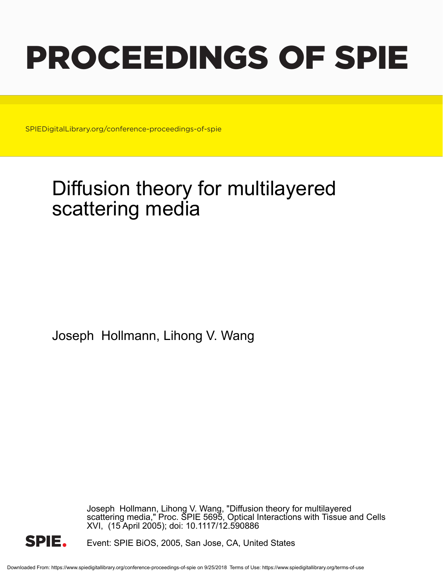# PROCEEDINGS OF SPIE

SPIEDigitalLibrary.org/conference-proceedings-of-spie

## Diffusion theory for multilayered scattering media

Joseph Hollmann, Lihong V. Wang

Joseph Hollmann, Lihong V. Wang, "Diffusion theory for multilayered scattering media," Proc. SPIE 5695, Optical Interactions with Tissue and Cells XVI, (15 April 2005); doi: 10.1117/12.590886



Event: SPIE BiOS, 2005, San Jose, CA, United States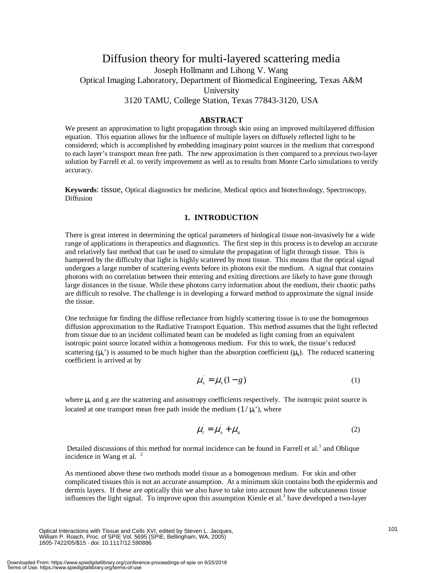### Diffusion theory for multi-layered scattering media Joseph Hollmann and Lihong V. Wang Optical Imaging Laboratory, Department of Biomedical Engineering, Texas A&M University 3120 TAMU, College Station, Texas 77843-3120, USA

#### **ABSTRACT**

We present an approximation to light propagation through skin using an improved multilayered diffusion equation. This equation allows for the influence of multiple layers on diffusely reflected light to be considered; which is accomplished by embedding imaginary point sources in the medium that correspond to each layer's transport mean free path. The new approximation is then compared to a previous two-layer solution by Farrell et al. to verify improvement as well as to results from Monte Carlo simulations to verify accuracy.

**Keywords**: tissue, Optical diagnostics for medicine, Medical optics and biotechnology, Spectroscopy, Diffusion

#### **1. INTRODUCTION**

There is great interest in determining the optical parameters of biological tissue non-invasively for a wide range of applications in therapeutics and diagnostics. The first step in this process is to develop an accurate and relatively fast method that can be used to simulate the propagation of light through tissue. This is hampered by the difficulty that light is highly scattered by most tissue. This means that the optical signal undergoes a large number of scattering events before its photons exit the medium. A signal that contains photons with no correlation between their entering and exiting directions are likely to have gone through large distances in the tissue. While these photons carry information about the medium, their chaotic paths are difficult to resolve. The challenge is in developing a forward method to approximate the signal inside the tissue.

One technique for finding the diffuse reflectance from highly scattering tissue is to use the homogenous diffusion approximation to the Radiative Transport Equation. This method assumes that the light reflected from tissue due to an incident collimated beam can be modeled as light coming from an equivalent isotropic point source located within a homogenous medium. For this to work, the tissue's reduced scattering  $(\mu_s)$  is assumed to be much higher than the absorption coefficient  $(\mu_a)$ . The reduced scattering coefficient is arrived at by

$$
\mu_s = \mu_s (1 - g) \tag{1}
$$

where  $\mu_s$  and g are the scattering and anisotropy coefficients respectively. The isotropic point source is located at one transport mean free path inside the medium  $(1/\mu_t)$ , where

$$
\mu_t = \mu_s + \mu_a \tag{2}
$$

Detailed discussions of this method for normal incidence can be found in Farrell et al.<sup>1</sup> and Oblique incidence in Wang et al.  $2\degree$ 

As mentioned above these two methods model tissue as a homogenous medium. For skin and other complicated tissues this is not an accurate assumption. At a minimum skin contains both the epidermis and dermis layers. If these are optically thin we also have to take into account how the subcutaneous tissue influences the light signal. To improve upon this assumption Kienle et al.<sup>3</sup> have developed a two-layer

Optical Interactions with Tissue and Cells XVI, edited by Steven L. Jacques, William P. Roach, Proc. of SPIE Vol. 5695 (SPIE, Bellingham, WA, 2005) 1605-7422/05/\$15 · doi: 10.1117/12.590886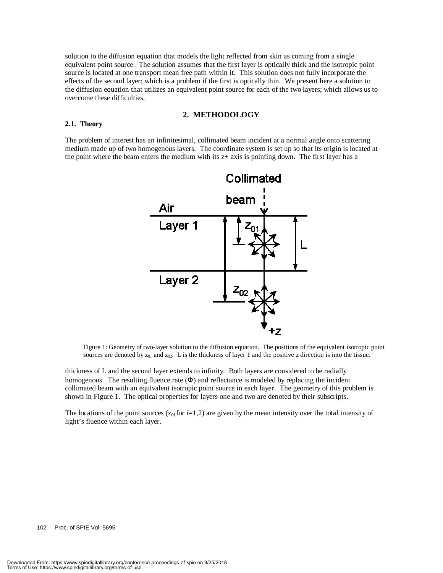solution to the diffusion equation that models the light reflected from skin as coming from a single equivalent point source. The solution assumes that the first layer is optically thick and the isotropic point source is located at one transport mean free path within it. This solution does not fully incorporate the effects of the second layer; which is a problem if the first is optically thin. We present here a solution to the diffusion equation that utilizes an equivalent point source for each of the two layers; which allows us to overcome these difficulties.

#### **2. METHODOLOGY**

#### **2.1. Theory**

The problem of interest has an infinitesimal, collimated beam incident at a normal angle onto scattering medium made up of two homogenous layers. The coordinate system is set up so that its origin is located at the point where the beam enters the medium with its  $z+$  axis is pointing down. The first layer has a



Figure 1: Geometry of two-layer solution to the diffusion equation. The positions of the equivalent isotropic point sources are denoted by  $z_{01}$  and  $z_{02}$ . L is the thickness of layer 1 and the positive z direction is into the tissue.

thickness of L and the second layer extends to infinity. Both layers are considered to be radially homogenous. The resulting fluence rate  $(\Phi)$  and reflectance is modeled by replacing the incident collimated beam with an equivalent isotropic point source in each layer. The geometry of this problem is shown in Figure 1. The optical properties for layers one and two are denoted by their subscripts.

The locations of the point sources ( $z_{0i}$  for i=1,2) are given by the mean intensity over the total intensity of light's fluence within each layer.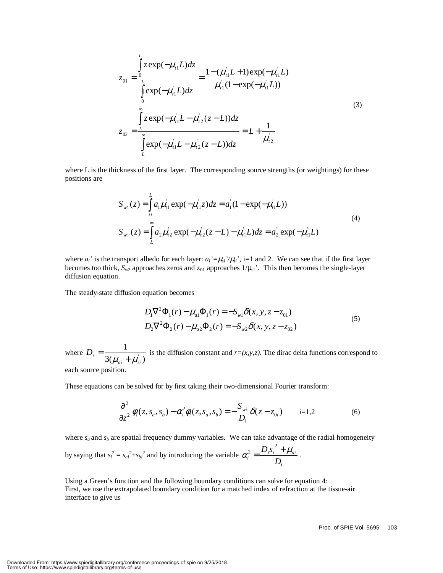$$
z_{01} = \frac{\int_{0}^{L} z \exp(-\mu_{i1}L) dz}{\int_{0}^{L} \exp(-\mu_{i1}L) dz} = \frac{1 - (\mu_{i1}L + 1) \exp(-\mu_{i1}L)}{\mu_{i1}(1 - \exp(-\mu_{i1}L))}
$$
  

$$
z_{02} = \frac{\int_{L}^{L} z \exp(-\mu_{i1}L - \mu_{i2}(z-L)) dz}{\int_{L}^{L} \exp(-\mu_{i1}L - \mu_{i2}(z-L)) dz} = L + \frac{1}{\mu_{i2}}
$$
 (3)

where L is the thickness of the first layer. The corresponding source strengths (or weightings) for these positions are

$$
S_{w1}(z) = \int_{0}^{L} a_{1}^{'} \mu_{t1}^{'} \exp(-\mu_{t1}^{'} z) dz = a_{1}^{'} (1 - \exp(-\mu_{t1}^{'} L))
$$
  
\n
$$
S_{w2}(z) = \int_{L}^{\infty} a_{2}^{'} \mu_{t2}^{'} \exp(-\mu_{t2}^{'} (z - L) - \mu_{t1}^{'} L) dz = a_{2}^{'} \exp(-\mu_{t1}^{'} L)
$$
\n(4)

where  $a_i'$  is the transport albedo for each layer:  $a_i' = \mu_{si'} / \mu_{ti'}$ , i=1 and 2. We can see that if the first layer becomes too thick,  $S_{w2}$  approaches zeros and  $z_{01}$  approaches  $1/\mu_{11}$ <sup>'</sup>. This then becomes the single-layer diffusion equation.

The steady-state diffusion equation becomes

$$
D_1 \nabla^2 \Phi_1(r) - \mu_{a1} \Phi_1(r) = -S_{w1} \delta(x, y, z - z_{01})
$$
  
\n
$$
D_2 \nabla^2 \Phi_2(r) - \mu_{a2} \Phi_2(r) = -S_{w2} \delta(x, y, z - z_{02})
$$
\n(5)

where  $3(\mu_{ai} + \mu_{si}^{\dagger})$  $\frac{1}{a_i + \mu_{si}}$  $D_i = \frac{1}{3(\mu_{ai} + \mu_{si})}$  is the diffusion constant and *r*=(*x,y,z*). The dirac delta functions correspond to each source position.

These equations can be solved for by first taking their two-dimensional Fourier transform:

$$
\frac{\partial^2}{\partial z^2} \phi_i(z, s_a, s_b) - \alpha_i^2 \phi_i(z, s_a, s_b) = -\frac{S_{wi}}{D_i} \delta(z - z_{0i}) \qquad i=1,2
$$
 (6)

where  $s_a$  and  $s_b$  are spatial frequency dummy variables. We can take advantage of the radial homogeneity

by saying that  $s_i^2 = s_{ai}^2 + s_{bi}^2$  and by introducing the variable *i*  $a_i^2 = \frac{D_i s_i + \mu_{ai}}{D_i}$  $\alpha_i^2 = \frac{D_i s_i^2 + \mu_i^2}{D_i^2}$  $\frac{2}{i} = \frac{D_i S_i + \mu_{ai}}{i}$ .

Using a Green's function and the following boundary conditions can solve for equation 4: First, we use the extrapolated boundary condition for a matched index of refraction at the tissue-air interface to give us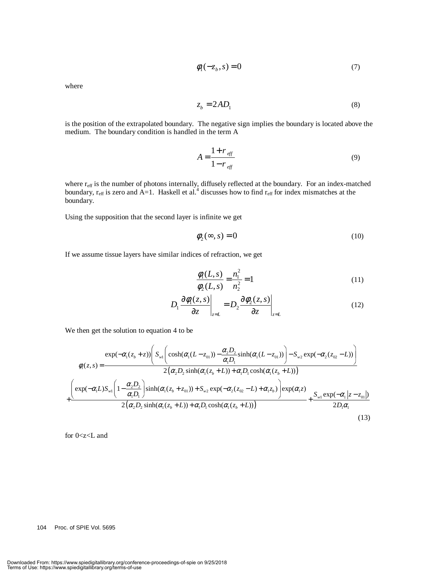$$
\phi_1(-z_b, s) = 0\tag{7}
$$

where

$$
z_b = 2AD_1 \tag{8}
$$

is the position of the extrapolated boundary. The negative sign implies the boundary is located above the medium. The boundary condition is handled in the term A

$$
A = \frac{1 + r_{\text{eff}}}{1 - r_{\text{eff}}}
$$
(9)

where  $r_{\text{eff}}$  is the number of photons internally, diffusely reflected at the boundary. For an index-matched boundary,  $r_{\text{eff}}$  is zero and A=1. Haskell et al.<sup>4</sup> discusses how to find  $r_{\text{eff}}$  for index mismatches at the boundary.

Using the supposition that the second layer is infinite we get

$$
\phi_2(\infty, s) = 0 \tag{10}
$$

If we assume tissue layers have similar indices of refraction, we get

$$
\frac{\phi_1(L,s)}{\phi_2(L,s)} = \frac{n_1^2}{n_2^2} = 1\tag{11}
$$

$$
D_1 \frac{\partial \phi_1(z,s)}{\partial z}\bigg|_{z=L} = D_2 \frac{\partial \phi_2(z,s)}{\partial z}\bigg|_{z=L}
$$
 (12)

We then get the solution to equation 4 to be

$$
\phi_{1}(z,s) = \frac{\exp(-\alpha_{1}(z_{b}+z))\left(S_{w1}\left(\cosh(\alpha_{1}(L-z_{01})) - \frac{\alpha_{2}D_{2}}{\alpha_{1}D_{1}}\sinh(\alpha_{1}(L-z_{01}))\right) - S_{w2}\exp(-\alpha_{2}(z_{02}-L))\right)}{2(\alpha_{2}D_{2}\sinh(\alpha_{1}(z_{b}+L)) + \alpha_{1}D_{1}\cosh(\alpha_{1}(z_{b}+L)))}
$$
\n
$$
+\frac{\left(\exp(-\alpha_{1}L)S_{w1}\left(1-\frac{\alpha_{2}D_{2}}{\alpha_{1}D_{1}}\right)\sinh(\alpha_{1}(z_{b}+z_{01})) + S_{w2}\exp(-\alpha_{2}(z_{02}-L)+\alpha_{1}z_{b})\right)\exp(\alpha_{1}z)}{2(\alpha_{2}D_{2}\sinh(\alpha_{1}(z_{b}+L)) + \alpha_{1}D_{1}\cosh(\alpha_{1}(z_{b}+L)))} + \frac{S_{w1}\exp(-\alpha_{1}|z-z_{01}|)}{2D_{1}\alpha_{1}}
$$
\n(13)

for 0<z<L and

#### 104 Proc. of SPIE Vol. 5695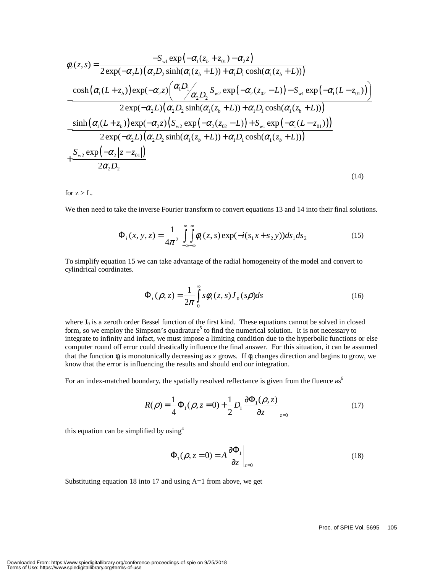$$
\phi_{2}(z,s) = \frac{-S_{w1} \exp(-\alpha_{1}(z_{b}+z_{01})-\alpha_{2}z)}{2 \exp(-\alpha_{2}L)\left(\alpha_{2}D_{2}\sinh(\alpha_{1}(z_{b}+L)) + \alpha_{1}D_{1}\cosh(\alpha_{1}(z_{b}+L))\right)}
$$
  

$$
-\frac{\cosh(\alpha_{1}(L+z_{b})) \exp(-\alpha_{2}z)\left(\frac{\alpha_{1}D_{1}}{\alpha_{2}D_{2}}S_{w2}\exp(-\alpha_{2}(z_{02}-L)) - S_{w1}\exp(-\alpha_{1}(L-z_{01}))\right)}{2 \exp(-\alpha_{2}L)\left(\alpha_{2}D_{2}\sinh(\alpha_{1}(z_{b}+L)) + \alpha_{1}D_{1}\cosh(\alpha_{1}(z_{b}+L))\right)}
$$
  

$$
-\frac{\sinh(\alpha_{1}(L+z_{b})) \exp(-\alpha_{2}z)\left(S_{w2}\exp(-\alpha_{2}(z_{02}-L)) + S_{w1}\exp(-\alpha_{1}(L-z_{01}))\right)}{2 \exp(-\alpha_{2}L)\left(\alpha_{2}D_{2}\sinh(\alpha_{1}(z_{b}+L)) + \alpha_{1}D_{1}\cosh(\alpha_{1}(z_{b}+L))\right)}
$$
  

$$
+\frac{S_{w2}\exp(-\alpha_{2}|z-z_{01}|)}{2\alpha_{2}D_{2}}
$$
 (14)

for  $z > L$ .

We then need to take the inverse Fourier transform to convert equations 13 and 14 into their final solutions.

$$
\Phi_i(x, y, z) = \frac{1}{4\pi^2} \int_{-\infty}^{\infty} \int_{-\infty}^{\infty} \phi_i(z, s) \exp(-i(s_1 x + s_2 y)) ds_1 ds_2
$$
 (15)

To simplify equation 15 we can take advantage of the radial homogeneity of the model and convert to cylindrical coordinates.

$$
\Phi_i(\rho, z) = \frac{1}{2\pi} \int_0^\infty s \phi_i(z, s) J_0(s\rho) ds \tag{16}
$$

where  $J_0$  is a zeroth order Bessel function of the first kind. These equations cannot be solved in closed form, so we employ the Simpson's quadrature<sup>5</sup> to find the numerical solution. It is not necessary to integrate to infinity and infact, we must impose a limiting condition due to the hyperbolic functions or else computer round off error could drastically influence the final answer. For this situation, it can be assumed that the function  $\phi_i$  is monotonically decreasing as z grows. If  $\phi_i$  changes direction and begins to grow, we know that the error is influencing the results and should end our integration.

For an index-matched boundary, the spatially resolved reflectance is given from the fluence as<sup>6</sup>

$$
R(\rho) = \frac{1}{4}\Phi_1(\rho, z=0) + \frac{1}{2}D_1 \frac{\partial \Phi_1(\rho, z)}{\partial z}\Big|_{z=0}
$$
 (17)

this equation can be simplified by using  $4$ 

$$
\Phi_1(\rho, z = 0) = A \frac{\partial \Phi_1}{\partial z}\Big|_{z=0} \tag{18}
$$

Substituting equation 18 into 17 and using A=1 from above, we get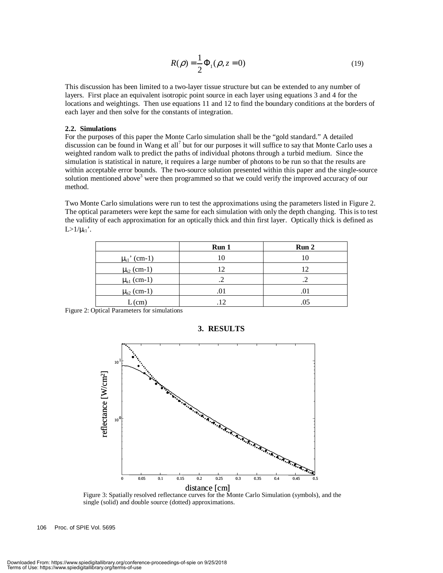$$
R(\rho) = \frac{1}{2} \Phi_1(\rho, z = 0)
$$
 (19)

This discussion has been limited to a two-layer tissue structure but can be extended to any number of layers. First place an equivalent isotropic point source in each layer using equations 3 and 4 for the locations and weightings. Then use equations 11 and 12 to find the boundary conditions at the borders of each layer and then solve for the constants of integration.

#### **2.2. Simulations**

For the purposes of this paper the Monte Carlo simulation shall be the "gold standard." A detailed discussion can be found in Wang et all<sup>7</sup> but for our purposes it will suffice to say that Monte Carlo uses a weighted random walk to predict the paths of individual photons through a turbid medium. Since the simulation is statistical in nature, it requires a large number of photons to be run so that the results are within acceptable error bounds. The two-source solution presented within this paper and the single-source solution mentioned above<sup>3</sup> were then programmed so that we could verify the improved accuracy of our method.

Two Monte Carlo simulations were run to test the approximations using the parameters listed in Figure 2. The optical parameters were kept the same for each simulation with only the depth changing. This is to test the validity of each approximation for an optically thick and thin first layer. Optically thick is defined as  $L > 1/\mu_{t1}$ .

|                            | Run 1 | Run <sub>2</sub> |
|----------------------------|-------|------------------|
| $\mu_{s1}$ ' (cm-1)        |       | 10               |
| $\mu_{s2}$ (cm-1)          | 12    | 12               |
| $\mu_{a1}$ (cm-1)          |       |                  |
| $\mu$ <sub>a2</sub> (cm-1) |       | .01              |
| $L$ (cm)                   | .12   | .05              |

**3. RESULTS** 

Figure 2: Optical Parameters for simulations



Figure 3: Spatially resolved reflectance curves for the Monte Carlo Simulation (symbols), and the single (solid) and double source (dotted) approximations.

106 Proc. of SPIE Vol. 5695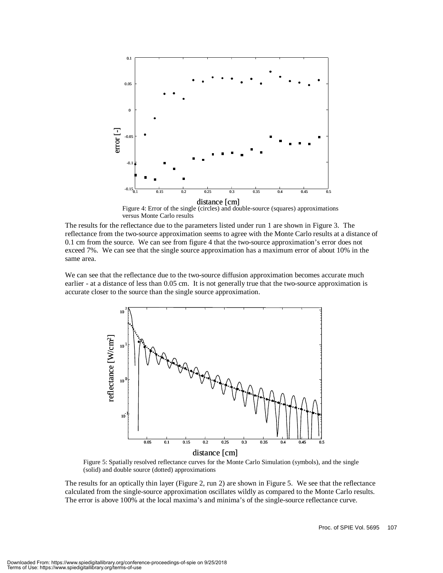

versus Monte Carlo results

The results for the reflectance due to the parameters listed under run 1 are shown in Figure 3. The reflectance from the two-source approximation seems to agree with the Monte Carlo results at a distance of 0.1 cm from the source. We can see from figure 4 that the two-source approximation's error does not exceed 7%. We can see that the single source approximation has a maximum error of about 10% in the same area.

We can see that the reflectance due to the two-source diffusion approximation becomes accurate much earlier - at a distance of less than 0.05 cm. It is not generally true that the two-source approximation is accurate closer to the source than the single source approximation.



Figure 5: Spatially resolved reflectance curves for the Monte Carlo Simulation (symbols), and the single (solid) and double source (dotted) approximations

The results for an optically thin layer (Figure 2, run 2) are shown in Figure 5. We see that the reflectance calculated from the single-source approximation oscillates wildly as compared to the Monte Carlo results. The error is above 100% at the local maxima's and minima's of the single-source reflectance curve.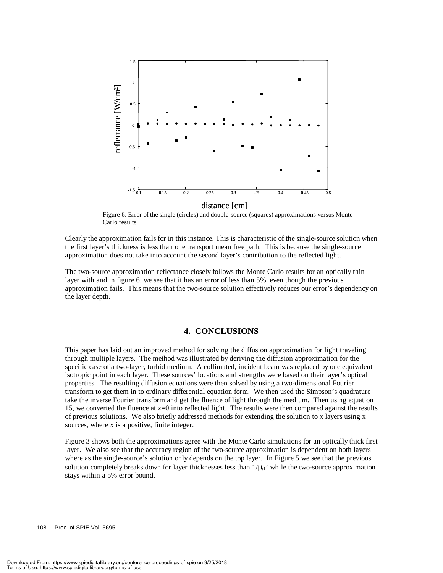

Figure 6: Error of the single (circles) and double-source (squares) approximations versus Monte Carlo results

Clearly the approximation fails for in this instance. This is characteristic of the single-source solution when the first layer's thickness is less than one transport mean free path. This is because the single-source approximation does not take into account the second layer's contribution to the reflected light.

The two-source approximation reflectance closely follows the Monte Carlo results for an optically thin layer with and in figure 6, we see that it has an error of less than 5%. even though the previous approximation fails. This means that the two-source solution effectively reduces our error's dependency on the layer depth.

#### **4. CONCLUSIONS**

This paper has laid out an improved method for solving the diffusion approximation for light traveling through multiple layers. The method was illustrated by deriving the diffusion approximation for the specific case of a two-layer, turbid medium. A collimated, incident beam was replaced by one equivalent isotropic point in each layer. These sources' locations and strengths were based on their layer's optical properties. The resulting diffusion equations were then solved by using a two-dimensional Fourier transform to get them in to ordinary differential equation form. We then used the Simpson's quadrature take the inverse Fourier transform and get the fluence of light through the medium. Then using equation 15, we converted the fluence at z=0 into reflected light. The results were then compared against the results of previous solutions. We also briefly addressed methods for extending the solution to x layers using x sources, where x is a positive, finite integer.

Figure 3 shows both the approximations agree with the Monte Carlo simulations for an optically thick first layer. We also see that the accuracy region of the two-source approximation is dependent on both layers where as the single-source's solution only depends on the top layer. In Figure 5 we see that the previous solution completely breaks down for layer thicknesses less than  $1/\mu_{11}$ ' while the two-source approximation stays within a 5% error bound.